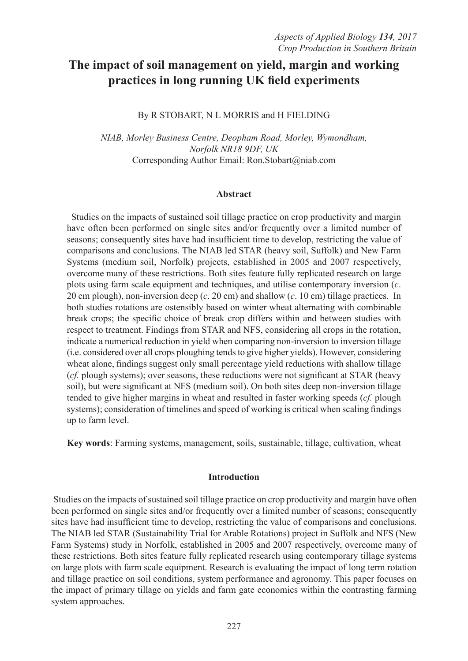# **The impact of soil management on yield, margin and working practices in long running UK field experiments**

By R STOBART, N L MORRIS and H FIELDING

*NIAB, Morley Business Centre, Deopham Road, Morley, Wymondham, Norfolk NR18 9DF, UK* Corresponding Author Email: Ron.Stobart@niab.com

#### **Abstract**

Studies on the impacts of sustained soil tillage practice on crop productivity and margin have often been performed on single sites and/or frequently over a limited number of seasons; consequently sites have had insufficient time to develop, restricting the value of comparisons and conclusions. The NIAB led STAR (heavy soil, Suffolk) and New Farm Systems (medium soil, Norfolk) projects, established in 2005 and 2007 respectively, overcome many of these restrictions. Both sites feature fully replicated research on large plots using farm scale equipment and techniques, and utilise contemporary inversion (*c*. 20 cm plough), non-inversion deep (*c*. 20 cm) and shallow (*c*. 10 cm) tillage practices. In both studies rotations are ostensibly based on winter wheat alternating with combinable break crops; the specific choice of break crop differs within and between studies with respect to treatment. Findings from STAR and NFS, considering all crops in the rotation, indicate a numerical reduction in yield when comparing non-inversion to inversion tillage (i.e. considered over all crops ploughing tends to give higher yields). However, considering wheat alone, findings suggest only small percentage yield reductions with shallow tillage (*cf.* plough systems); over seasons, these reductions were not significant at STAR (heavy soil), but were significant at NFS (medium soil). On both sites deep non-inversion tillage tended to give higher margins in wheat and resulted in faster working speeds (*cf.* plough systems); consideration of timelines and speed of working is critical when scaling findings up to farm level.

**Key words**: Farming systems, management, soils, sustainable, tillage, cultivation, wheat

## **Introduction**

Studies on the impacts of sustained soil tillage practice on crop productivity and margin have often been performed on single sites and/or frequently over a limited number of seasons; consequently sites have had insufficient time to develop, restricting the value of comparisons and conclusions. The NIAB led STAR (Sustainability Trial for Arable Rotations) project in Suffolk and NFS (New Farm Systems) study in Norfolk, established in 2005 and 2007 respectively, overcome many of these restrictions. Both sites feature fully replicated research using contemporary tillage systems on large plots with farm scale equipment. Research is evaluating the impact of long term rotation and tillage practice on soil conditions, system performance and agronomy. This paper focuses on the impact of primary tillage on yields and farm gate economics within the contrasting farming system approaches.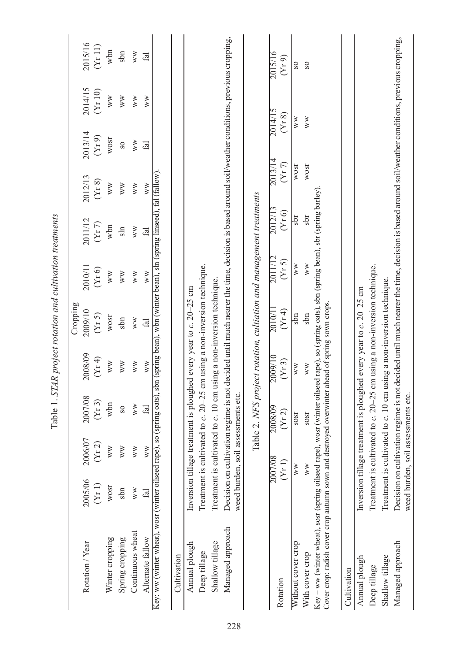|                  |                  |                              |                                                                                    | Cropping          |                                                                                                          |                                                                                                                                                                                                                                                                                                                                                                                                                                                        |                                                       |                                                                                                                                                                                                                                                                                                                                                                                          |                                               |                                                                                                                                                                                                                                                                                                                                   |
|------------------|------------------|------------------------------|------------------------------------------------------------------------------------|-------------------|----------------------------------------------------------------------------------------------------------|--------------------------------------------------------------------------------------------------------------------------------------------------------------------------------------------------------------------------------------------------------------------------------------------------------------------------------------------------------------------------------------------------------------------------------------------------------|-------------------------------------------------------|------------------------------------------------------------------------------------------------------------------------------------------------------------------------------------------------------------------------------------------------------------------------------------------------------------------------------------------------------------------------------------------|-----------------------------------------------|-----------------------------------------------------------------------------------------------------------------------------------------------------------------------------------------------------------------------------------------------------------------------------------------------------------------------------------|
| 2005/06<br>(Yr1) | 2006/07<br>(Yr2) | 2007/08<br>(Yr 3)            | 2008/09<br>(Y <sub>I</sub> 4)                                                      | 2009/10<br>(Yr 5) | 2010/11<br>(Yr 6)                                                                                        | 2011/12<br>(Y <sub>I</sub> 7)                                                                                                                                                                                                                                                                                                                                                                                                                          | 2012/13<br>(Yr 8)                                     | 2013/14<br>(Y <sub>I</sub> 9)                                                                                                                                                                                                                                                                                                                                                            | 2014/15<br>(Yr10)                             | 2015/16<br>(Yr 11)                                                                                                                                                                                                                                                                                                                |
| WOST             | WW               | wbn                          | WW                                                                                 | WOST              | WW                                                                                                       | wbn                                                                                                                                                                                                                                                                                                                                                                                                                                                    | WW                                                    | WOST                                                                                                                                                                                                                                                                                                                                                                                     | WW                                            | wbn                                                                                                                                                                                                                                                                                                                               |
| sbn              | WW               | S <sub>O</sub>               | WW                                                                                 | sbn               | WW                                                                                                       | $\sin$                                                                                                                                                                                                                                                                                                                                                                                                                                                 | WW                                                    | $_{\rm{S}}$                                                                                                                                                                                                                                                                                                                                                                              | WW                                            | sbn                                                                                                                                                                                                                                                                                                                               |
| WW               | WW               | WW                           | WW                                                                                 | WW                | WW                                                                                                       | WW                                                                                                                                                                                                                                                                                                                                                                                                                                                     | WW                                                    | WW                                                                                                                                                                                                                                                                                                                                                                                       | WW                                            | WW                                                                                                                                                                                                                                                                                                                                |
| fal              | $\mathbb{W}$     | $_{\rm{fid}}$                | WW                                                                                 | fal               | WW                                                                                                       | $\ddot{a}$                                                                                                                                                                                                                                                                                                                                                                                                                                             | WW                                                    | $f_{\rm al}$                                                                                                                                                                                                                                                                                                                                                                             | WW                                            | fal                                                                                                                                                                                                                                                                                                                               |
|                  |                  |                              |                                                                                    |                   |                                                                                                          |                                                                                                                                                                                                                                                                                                                                                                                                                                                        |                                                       |                                                                                                                                                                                                                                                                                                                                                                                          |                                               |                                                                                                                                                                                                                                                                                                                                   |
|                  |                  |                              |                                                                                    |                   |                                                                                                          |                                                                                                                                                                                                                                                                                                                                                                                                                                                        |                                                       |                                                                                                                                                                                                                                                                                                                                                                                          |                                               |                                                                                                                                                                                                                                                                                                                                   |
|                  |                  |                              |                                                                                    |                   |                                                                                                          |                                                                                                                                                                                                                                                                                                                                                                                                                                                        |                                                       |                                                                                                                                                                                                                                                                                                                                                                                          |                                               |                                                                                                                                                                                                                                                                                                                                   |
|                  |                  |                              |                                                                                    |                   |                                                                                                          |                                                                                                                                                                                                                                                                                                                                                                                                                                                        |                                                       |                                                                                                                                                                                                                                                                                                                                                                                          |                                               |                                                                                                                                                                                                                                                                                                                                   |
|                  |                  |                              |                                                                                    |                   |                                                                                                          |                                                                                                                                                                                                                                                                                                                                                                                                                                                        |                                                       |                                                                                                                                                                                                                                                                                                                                                                                          |                                               |                                                                                                                                                                                                                                                                                                                                   |
|                  |                  |                              |                                                                                    |                   |                                                                                                          |                                                                                                                                                                                                                                                                                                                                                                                                                                                        |                                                       |                                                                                                                                                                                                                                                                                                                                                                                          |                                               |                                                                                                                                                                                                                                                                                                                                   |
|                  |                  |                              |                                                                                    |                   |                                                                                                          |                                                                                                                                                                                                                                                                                                                                                                                                                                                        |                                                       |                                                                                                                                                                                                                                                                                                                                                                                          |                                               |                                                                                                                                                                                                                                                                                                                                   |
|                  |                  | 2008/09                      | 2009/10                                                                            | 2010/11           | 2011/12                                                                                                  |                                                                                                                                                                                                                                                                                                                                                                                                                                                        |                                                       |                                                                                                                                                                                                                                                                                                                                                                                          |                                               | 2015/16                                                                                                                                                                                                                                                                                                                           |
|                  |                  |                              |                                                                                    |                   |                                                                                                          |                                                                                                                                                                                                                                                                                                                                                                                                                                                        |                                                       |                                                                                                                                                                                                                                                                                                                                                                                          |                                               | (Yr9)                                                                                                                                                                                                                                                                                                                             |
|                  |                  | SOST                         | WW                                                                                 | sbn               | WW                                                                                                       | sbr                                                                                                                                                                                                                                                                                                                                                                                                                                                    |                                                       |                                                                                                                                                                                                                                                                                                                                                                                          |                                               | $\overline{\text{S}}$                                                                                                                                                                                                                                                                                                             |
|                  |                  | SOST                         | WW                                                                                 | sbn               | WW                                                                                                       | sbr                                                                                                                                                                                                                                                                                                                                                                                                                                                    |                                                       |                                                                                                                                                                                                                                                                                                                                                                                          |                                               | S <sub>0</sub>                                                                                                                                                                                                                                                                                                                    |
|                  |                  |                              |                                                                                    |                   |                                                                                                          |                                                                                                                                                                                                                                                                                                                                                                                                                                                        |                                                       |                                                                                                                                                                                                                                                                                                                                                                                          |                                               |                                                                                                                                                                                                                                                                                                                                   |
|                  |                  |                              |                                                                                    |                   |                                                                                                          |                                                                                                                                                                                                                                                                                                                                                                                                                                                        |                                                       |                                                                                                                                                                                                                                                                                                                                                                                          |                                               |                                                                                                                                                                                                                                                                                                                                   |
|                  |                  |                              |                                                                                    |                   |                                                                                                          |                                                                                                                                                                                                                                                                                                                                                                                                                                                        |                                                       |                                                                                                                                                                                                                                                                                                                                                                                          |                                               |                                                                                                                                                                                                                                                                                                                                   |
|                  |                  |                              |                                                                                    |                   |                                                                                                          |                                                                                                                                                                                                                                                                                                                                                                                                                                                        |                                                       |                                                                                                                                                                                                                                                                                                                                                                                          |                                               |                                                                                                                                                                                                                                                                                                                                   |
|                  |                  |                              |                                                                                    |                   |                                                                                                          |                                                                                                                                                                                                                                                                                                                                                                                                                                                        |                                                       |                                                                                                                                                                                                                                                                                                                                                                                          |                                               |                                                                                                                                                                                                                                                                                                                                   |
|                  |                  |                              |                                                                                    |                   |                                                                                                          |                                                                                                                                                                                                                                                                                                                                                                                                                                                        |                                                       |                                                                                                                                                                                                                                                                                                                                                                                          |                                               |                                                                                                                                                                                                                                                                                                                                   |
|                  |                  | 2007/08<br>(Yr1)<br>WW<br>WW | weed burden, soil assessments etc.<br>weed burden, soil assessments etc.<br>(Yr 2) | (Yr 3)            | Cover crop: radish cover crop autumn sown and destroyed overwinter ahead of spring sown crops.<br>(YI 4) | (Yr 5)<br>Treatment is cultivated to c. 20-25 cm using a non-inversion technique.<br>Treatment is cultivated to c. 20-25 cm using a non-inversion technique.<br>Treatment is cultivated to c. 10 cm using a non-inversion technique.<br>Treatment is cultivated to c. 10 cm using a non-inversion technique.<br>Inversion tillage treatment is ploughed every year to c. 20-25 cm<br>Inversion tillage treatment is ploughed every year to c. 20-25 cm | Tanie T. Straw higher town and cumber is equivalently | Key: ww (winter wheat), wosr (winter oilseed rape), so (spring oats), sbn (spring bean), wbn (winter bean), shn (spring linseed), fal (fallow).<br>Key – ww (winter wheat), sosr (spring oilseed rape), wosr (winter oilseed rape), so (spring oats), sbn (spring bean), sbr (spring barley)<br>Table 2. NFS project rotation, cultiation and management treatments<br>2012/13<br>(Yr 6) | 2013/14<br>(Y <sub>r</sub> 7)<br>WOST<br>WOST | Decision on cultivation regime is not decided until much nearer the time, decision is based around soil/weather conditions, previous cropping,<br>Decision on cultivation regime is not decided until much nearer the time, decision is based around soil/weather conditions, previous cropping,<br>2014/15<br>(Yr 8)<br>WW<br>WW |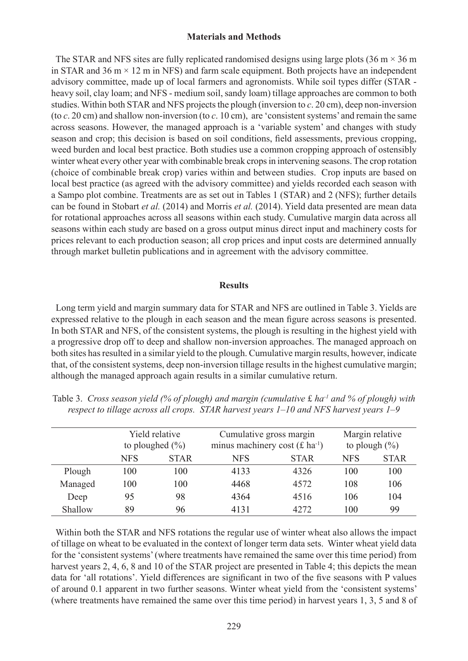## **Materials and Methods**

The STAR and NFS sites are fully replicated randomised designs using large plots  $(36 \text{ m} \times 36 \text{ m})$ in STAR and 36 m  $\times$  12 m in NFS) and farm scale equipment. Both projects have an independent advisory committee, made up of local farmers and agronomists. While soil types differ (STAR heavy soil, clay loam; and NFS - medium soil, sandy loam) tillage approaches are common to both studies. Within both STAR and NFS projects the plough (inversion to *c*. 20 cm), deep non-inversion (to *c*. 20 cm) and shallow non-inversion (to *c*. 10 cm), are 'consistent systems' and remain the same across seasons. However, the managed approach is a 'variable system' and changes with study season and crop; this decision is based on soil conditions, field assessments, previous cropping, weed burden and local best practice. Both studies use a common cropping approach of ostensibly winter wheat every other year with combinable break crops in intervening seasons. The crop rotation (choice of combinable break crop) varies within and between studies. Crop inputs are based on local best practice (as agreed with the advisory committee) and yields recorded each season with a Sampo plot combine. Treatments are as set out in Tables 1 (STAR) and 2 (NFS); further details can be found in Stobart *et al.* (2014) and Morris *et al.* (2014). Yield data presented are mean data for rotational approaches across all seasons within each study. Cumulative margin data across all seasons within each study are based on a gross output minus direct input and machinery costs for prices relevant to each production season; all crop prices and input costs are determined annually through market bulletin publications and in agreement with the advisory committee.

#### **Results**

Long term yield and margin summary data for STAR and NFS are outlined in Table 3. Yields are expressed relative to the plough in each season and the mean figure across seasons is presented. In both STAR and NFS, of the consistent systems, the plough is resulting in the highest yield with a progressive drop off to deep and shallow non-inversion approaches. The managed approach on both sites has resulted in a similar yield to the plough. Cumulative margin results, however, indicate that, of the consistent systems, deep non-inversion tillage results in the highest cumulative margin; although the managed approach again results in a similar cumulative return.

|         |            | Yield relative<br>to ploughed $(\% )$ | Cumulative gross margin<br>minus machinery cost $(f \, ha^{-1})$ |             |            | Margin relative<br>to plough $(\%)$ |
|---------|------------|---------------------------------------|------------------------------------------------------------------|-------------|------------|-------------------------------------|
|         | <b>NFS</b> | <b>STAR</b>                           | <b>NFS</b>                                                       | <b>STAR</b> | <b>NFS</b> | <b>STAR</b>                         |
| Plough  | 100        | 100                                   | 4133                                                             | 4326        | 100        | 100                                 |
| Managed | 100        | 100                                   | 4468                                                             | 4572        | 108        | 106                                 |
| Deep    | 95         | 98                                    | 4364                                                             | 4516        | 106        | 104                                 |
| Shallow | 89         | 96                                    | 4131                                                             | 42.72       | 100        | 99                                  |

Table 3. *Cross season yield (% of plough) and margin (cumulative* £ *ha-1 and % of plough) with respect to tillage across all crops. STAR harvest years 1–10 and NFS harvest years 1–9*

Within both the STAR and NFS rotations the regular use of winter wheat also allows the impact of tillage on wheat to be evaluated in the context of longer term data sets. Winter wheat yield data for the 'consistent systems' (where treatments have remained the same over this time period) from harvest years 2, 4, 6, 8 and 10 of the STAR project are presented in Table 4; this depicts the mean data for 'all rotations'. Yield differences are significant in two of the five seasons with P values of around 0.1 apparent in two further seasons. Winter wheat yield from the 'consistent systems' (where treatments have remained the same over this time period) in harvest years 1, 3, 5 and 8 of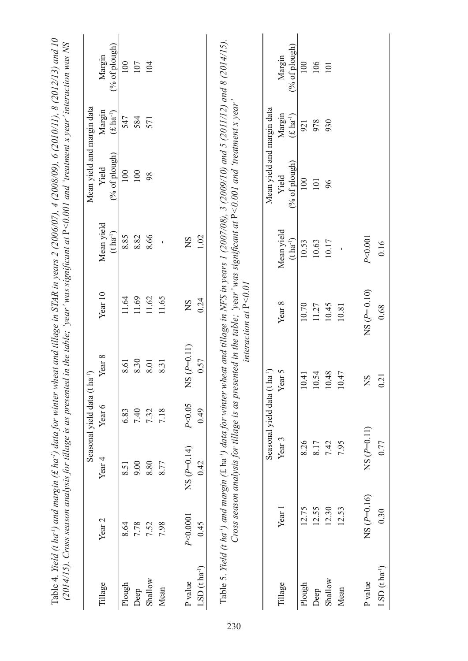|                      |                   |                   | Seasonal yield data (t ha <sup>-1</sup> ) |                                    |                |                                           | (2014/15). Cross season analysis for tillage is as presented in the table; 'year' was significant at P<0.001 and 'treatment x year' interaction was NS<br>Mean yield and margin data |                            |                         |
|----------------------|-------------------|-------------------|-------------------------------------------|------------------------------------|----------------|-------------------------------------------|--------------------------------------------------------------------------------------------------------------------------------------------------------------------------------------|----------------------------|-------------------------|
| Tillage              | Year <sub>2</sub> | Year $4$          | Year 6                                    | Year 8                             | Year 10        | Mean yield<br>$(\text{t}~\text{ha}^{.1})$ | (% of plough)<br>Yield                                                                                                                                                               | Margin<br>$(f \, ha^{-1})$ | (% of plongh)<br>Margin |
| Plough               | 8.64              | 8.51              | 6.83                                      | 8.61                               | 11.64          | 8.85                                      | 100                                                                                                                                                                                  | 547                        | 100                     |
| Deep                 | 7.78              | 00.6              | 7.40                                      | 8.30                               | 11.69          | 8.82                                      | 100                                                                                                                                                                                  | 584                        | 107                     |
| Shallow              | 7.52              | 8.80              | 7.32                                      | 8.01                               | 11.62          | 8.66                                      | 98                                                                                                                                                                                   | 571                        | 104                     |
| Mean                 | 7.98              | 8.77              | 7.18                                      | 8.31                               | 11.65          |                                           |                                                                                                                                                                                      |                            |                         |
| P value              | P<0.0001          | $NS(P=0.14)$      | P < 0.05                                  | $S(P=0.11)$<br>Z                   | $\overline{S}$ | $\overline{S}$                            |                                                                                                                                                                                      |                            |                         |
| LSD $(t \ln a^{-1})$ | 0.45              | 0.42              | 0.49                                      | 0.57                               | 0.24           | 1.02                                      |                                                                                                                                                                                      |                            |                         |
|                      |                   |                   | Seasonal yield data (t ha <sup>-1</sup> ) |                                    |                |                                           | Mean yield and margin data                                                                                                                                                           |                            |                         |
| Tillage              | Year 1            | Year <sub>3</sub> |                                           | Year 5                             | Year 8         | Mean yield<br>$(t \, ha^{-1})$            | (% of plough)<br>Yield                                                                                                                                                               | Margin<br>$(f \, ha^{-1})$ | (% of plongh)<br>Margin |
| Plough               | 12.75             | 8.26              |                                           | $\overline{11}$<br>$\overline{10}$ | 10.70          | 10.53                                     | 100                                                                                                                                                                                  | 921                        | 100                     |
| Deep                 | 12.55             | 8.17              |                                           | .54<br>$\Xi$                       | 11.27          | 10.63                                     | 101                                                                                                                                                                                  | 978                        | 106                     |
| Shallow              | 12.30             | 7.42              |                                           | .48<br>$\overline{10}$             | 10.45          | 10.17                                     | 96                                                                                                                                                                                   | 930                        | $101$                   |
| Mean                 | 12.53             | 7.95              |                                           | 47<br>$\Xi$                        | 10.81          |                                           |                                                                                                                                                                                      |                            |                         |
| P value              | $NS(P=0.16)$      | $NS(P=0.11)$      |                                           | SN                                 | $NS(P=0.10)$   | P < 0.001                                 |                                                                                                                                                                                      |                            |                         |
| LSD $(t \ln^{-1})$   | 0.30              | 0.77              |                                           | 0.21                               | $0.68\,$       | 0.16                                      |                                                                                                                                                                                      |                            |                         |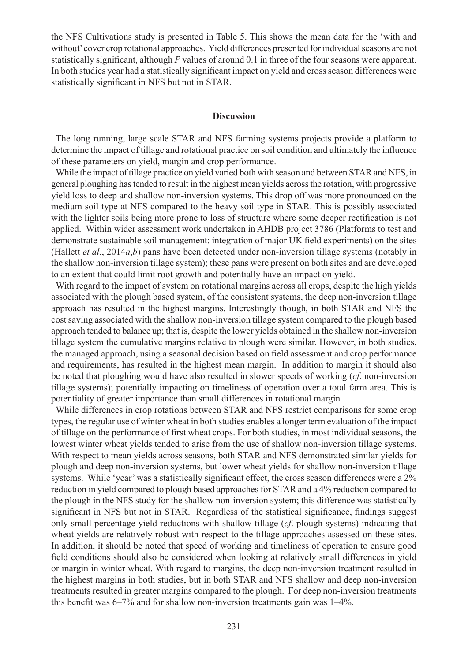the NFS Cultivations study is presented in Table 5. This shows the mean data for the 'with and without' cover crop rotational approaches. Yield differences presented for individual seasons are not statistically significant, although *P* values of around 0.1 in three of the four seasons were apparent. In both studies year had a statistically significant impact on yield and cross season differences were statistically significant in NFS but not in STAR.

## **Discussion**

The long running, large scale STAR and NFS farming systems projects provide a platform to determine the impact of tillage and rotational practice on soil condition and ultimately the influence of these parameters on yield, margin and crop performance.

While the impact of tillage practice on yield varied both with season and between STAR and NFS, in general ploughing has tended to result in the highest mean yields across the rotation, with progressive yield loss to deep and shallow non-inversion systems. This drop off was more pronounced on the medium soil type at NFS compared to the heavy soil type in STAR. This is possibly associated with the lighter soils being more prone to loss of structure where some deeper rectification is not applied. Within wider assessment work undertaken in AHDB project 3786 (Platforms to test and demonstrate sustainable soil management: integration of major UK field experiments) on the sites (Hallett *et al*., 2014*a*,*b*) pans have been detected under non-inversion tillage systems (notably in the shallow non-inversion tillage system); these pans were present on both sites and are developed to an extent that could limit root growth and potentially have an impact on yield.

With regard to the impact of system on rotational margins across all crops, despite the high yields associated with the plough based system, of the consistent systems, the deep non-inversion tillage approach has resulted in the highest margins. Interestingly though, in both STAR and NFS the cost saving associated with the shallow non-inversion tillage system compared to the plough based approach tended to balance up; that is, despite the lower yields obtained in the shallow non-inversion tillage system the cumulative margins relative to plough were similar. However, in both studies, the managed approach, using a seasonal decision based on field assessment and crop performance and requirements, has resulted in the highest mean margin. In addition to margin it should also be noted that ploughing would have also resulted in slower speeds of working (*cf*. non-inversion tillage systems); potentially impacting on timeliness of operation over a total farm area. This is potentiality of greater importance than small differences in rotational margin*.* 

While differences in crop rotations between STAR and NFS restrict comparisons for some crop types, the regular use of winter wheat in both studies enables a longer term evaluation of the impact of tillage on the performance of first wheat crops. For both studies, in most individual seasons, the lowest winter wheat yields tended to arise from the use of shallow non-inversion tillage systems. With respect to mean yields across seasons, both STAR and NFS demonstrated similar yields for plough and deep non-inversion systems, but lower wheat yields for shallow non-inversion tillage systems. While 'year' was a statistically significant effect, the cross season differences were a 2% reduction in yield compared to plough based approaches for STAR and a 4% reduction compared to the plough in the NFS study for the shallow non-inversion system; this difference was statistically significant in NFS but not in STAR. Regardless of the statistical significance, findings suggest only small percentage yield reductions with shallow tillage (*cf*. plough systems) indicating that wheat yields are relatively robust with respect to the tillage approaches assessed on these sites. In addition, it should be noted that speed of working and timeliness of operation to ensure good field conditions should also be considered when looking at relatively small differences in yield or margin in winter wheat. With regard to margins, the deep non-inversion treatment resulted in the highest margins in both studies, but in both STAR and NFS shallow and deep non-inversion treatments resulted in greater margins compared to the plough. For deep non-inversion treatments this benefit was 6–7% and for shallow non-inversion treatments gain was 1–4%.